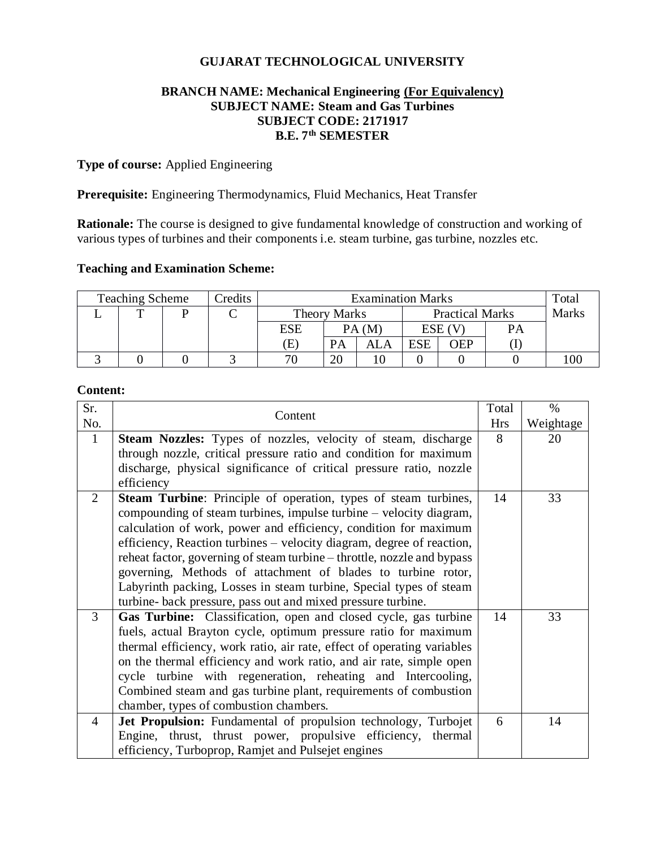# **GUJARAT TECHNOLOGICAL UNIVERSITY**

## **BRANCH NAME: Mechanical Engineering (For Equivalency) SUBJECT NAME: Steam and Gas Turbines SUBJECT CODE: 2171917 B.E. 7th SEMESTER**

# **Type of course:** Applied Engineering

**Prerequisite:** Engineering Thermodynamics, Fluid Mechanics, Heat Transfer

**Rationale:** The course is designed to give fundamental knowledge of construction and working of various types of turbines and their components i.e. steam turbine, gas turbine, nozzles etc.

#### **Teaching and Examination Scheme:**

| <b>Teaching Scheme</b><br>Credits |  |  | <b>Examination Marks</b> |                     |           |                        |     | Total        |    |  |
|-----------------------------------|--|--|--------------------------|---------------------|-----------|------------------------|-----|--------------|----|--|
|                                   |  |  |                          | <b>Theory Marks</b> |           | <b>Practical Marks</b> |     | <b>Marks</b> |    |  |
|                                   |  |  |                          | ESE                 |           | PA(M)                  |     | ESE (V       | PА |  |
|                                   |  |  |                          | E)                  | <b>PA</b> | ALA                    | ESE | WEP          |    |  |
|                                   |  |  |                          | 70                  | 20        |                        |     |              |    |  |

# **Content:**

| Sr.          |                                                                                                                                                                                                                                                                                                                                                                                                                                                                                                                                                                            | Total | $\%$      |
|--------------|----------------------------------------------------------------------------------------------------------------------------------------------------------------------------------------------------------------------------------------------------------------------------------------------------------------------------------------------------------------------------------------------------------------------------------------------------------------------------------------------------------------------------------------------------------------------------|-------|-----------|
| No.          | Content                                                                                                                                                                                                                                                                                                                                                                                                                                                                                                                                                                    |       | Weightage |
| $\mathbf{1}$ | <b>Steam Nozzles:</b> Types of nozzles, velocity of steam, discharge                                                                                                                                                                                                                                                                                                                                                                                                                                                                                                       | 8     | 20        |
|              | through nozzle, critical pressure ratio and condition for maximum                                                                                                                                                                                                                                                                                                                                                                                                                                                                                                          |       |           |
|              | discharge, physical significance of critical pressure ratio, nozzle                                                                                                                                                                                                                                                                                                                                                                                                                                                                                                        |       |           |
|              | efficiency                                                                                                                                                                                                                                                                                                                                                                                                                                                                                                                                                                 |       |           |
| 2            | <b>Steam Turbine:</b> Principle of operation, types of steam turbines,<br>compounding of steam turbines, impulse turbine – velocity diagram,<br>calculation of work, power and efficiency, condition for maximum<br>efficiency, Reaction turbines - velocity diagram, degree of reaction,<br>reheat factor, governing of steam turbine – throttle, nozzle and bypass<br>governing, Methods of attachment of blades to turbine rotor,<br>Labyrinth packing, Losses in steam turbine, Special types of steam<br>turbine- back pressure, pass out and mixed pressure turbine. | 14    | 33        |
| 3            | Gas Turbine: Classification, open and closed cycle, gas turbine<br>fuels, actual Brayton cycle, optimum pressure ratio for maximum<br>thermal efficiency, work ratio, air rate, effect of operating variables<br>on the thermal efficiency and work ratio, and air rate, simple open<br>cycle turbine with regeneration, reheating and Intercooling,<br>Combined steam and gas turbine plant, requirements of combustion<br>chamber, types of combustion chambers.                                                                                                         | 14    | 33        |
| 4            | Jet Propulsion: Fundamental of propulsion technology, Turbojet<br>Engine, thrust, thrust power, propulsive efficiency,<br>thermal<br>efficiency, Turboprop, Ramjet and Pulsejet engines                                                                                                                                                                                                                                                                                                                                                                                    | 6     | 14        |